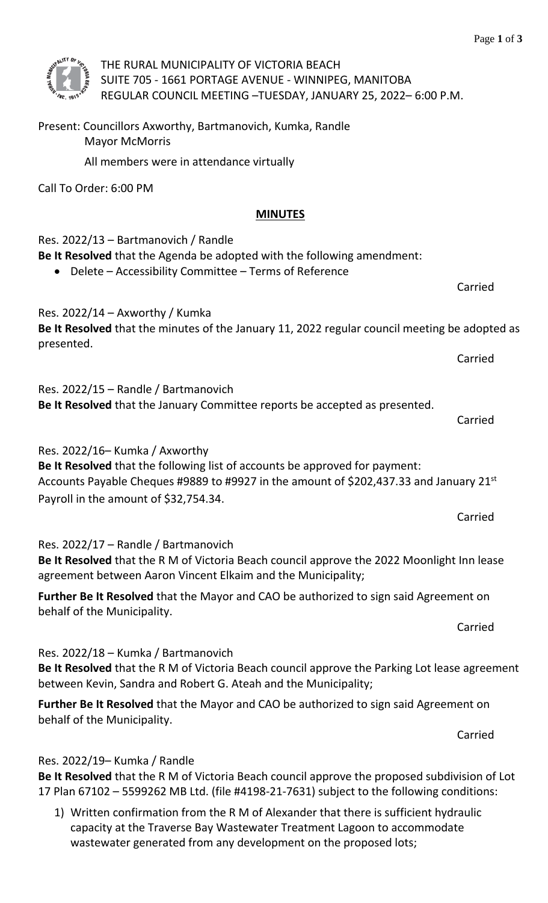

THE RURAL MUNICIPALITY OF VICTORIA BEACH SUITE 705 - 1661 PORTAGE AVENUE - WINNIPEG, MANITOBA REGULAR COUNCIL MEETING –TUESDAY, JANUARY 25, 2022– 6:00 P.M.

Present: Councillors Axworthy, Bartmanovich, Kumka, Randle Mayor McMorris

All members were in attendance virtually

Call To Order: 6:00 PM

## **MINUTES**

Res. 2022/13 – Bartmanovich / Randle **Be It Resolved** that the Agenda be adopted with the following amendment:

• Delete – Accessibility Committee – Terms of Reference

Res. 2022/14 – Axworthy / Kumka

**Be It Resolved** that the minutes of the January 11, 2022 regular council meeting be adopted as presented. Carried

Res. 2022/15 – Randle / Bartmanovich **Be It Resolved** that the January Committee reports be accepted as presented.

Res. 2022/16– Kumka / Axworthy **Be It Resolved** that the following list of accounts be approved for payment: Accounts Payable Cheques #9889 to #9927 in the amount of \$202,437.33 and January 21<sup>st</sup> Payroll in the amount of \$32,754.34.

Carried

Res. 2022/17 – Randle / Bartmanovich

**Be It Resolved** that the R M of Victoria Beach council approve the 2022 Moonlight Inn lease agreement between Aaron Vincent Elkaim and the Municipality;

**Further Be It Resolved** that the Mayor and CAO be authorized to sign said Agreement on behalf of the Municipality.

Res. 2022/18 – Kumka / Bartmanovich

**Be It Resolved** that the R M of Victoria Beach council approve the Parking Lot lease agreement between Kevin, Sandra and Robert G. Ateah and the Municipality;

**Further Be It Resolved** that the Mayor and CAO be authorized to sign said Agreement on behalf of the Municipality.

Carried

# Res. 2022/19– Kumka / Randle

**Be It Resolved** that the R M of Victoria Beach council approve the proposed subdivision of Lot 17 Plan 67102 – 5599262 MB Ltd. (file #4198-21-7631) subject to the following conditions:

1) Written confirmation from the R M of Alexander that there is sufficient hydraulic capacity at the Traverse Bay Wastewater Treatment Lagoon to accommodate wastewater generated from any development on the proposed lots;

Carried

Carried

Carried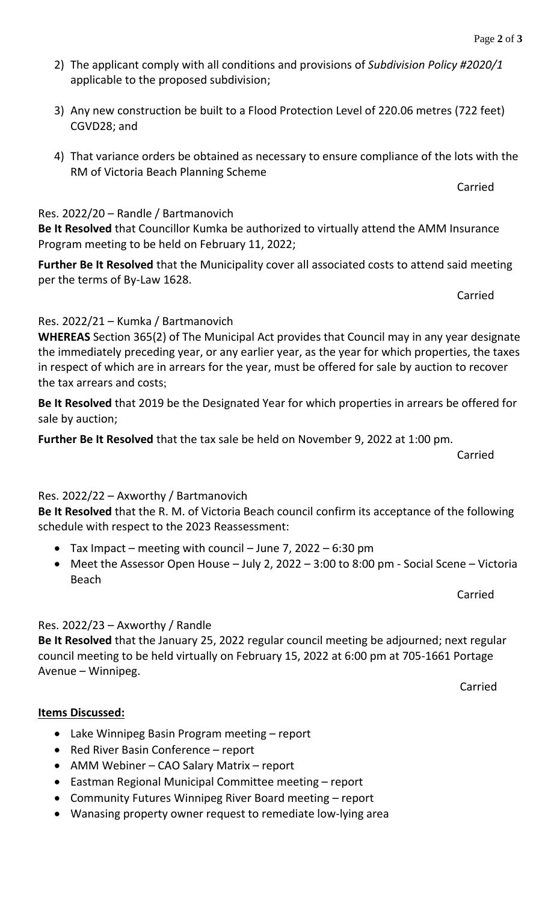- 2) The applicant comply with all conditions and provisions of *Subdivision Policy #2020/1* applicable to the proposed subdivision;
- 3) Any new construction be built to a Flood Protection Level of 220.06 metres (722 feet) CGVD28; and
- 4) That variance orders be obtained as necessary to ensure compliance of the lots with the RM of Victoria Beach Planning Scheme

### Res. 2022/20 – Randle / Bartmanovich

**Be It Resolved** that Councillor Kumka be authorized to virtually attend the AMM Insurance Program meeting to be held on February 11, 2022;

**Further Be It Resolved** that the Municipality cover all associated costs to attend said meeting per the terms of By-Law 1628.

Carried

Carried

### Res. 2022/21 – Kumka / Bartmanovich

**WHEREAS** Section 365(2) of The Municipal Act provides that Council may in any year designate the immediately preceding year, or any earlier year, as the year for which properties, the taxes in respect of which are in arrears for the year, must be offered for sale by auction to recover the tax arrears and costs;

**Be It Resolved** that 2019 be the Designated Year for which properties in arrears be offered for sale by auction;

**Further Be It Resolved** that the tax sale be held on November 9, 2022 at 1:00 pm.

Carried

# Res. 2022/22 – Axworthy / Bartmanovich

**Be It Resolved** that the R. M. of Victoria Beach council confirm its acceptance of the following schedule with respect to the 2023 Reassessment:

- Tax Impact meeting with council June 7, 2022 6:30 pm
- Meet the Assessor Open House July 2, 2022 3:00 to 8:00 pm Social Scene Victoria Beach

Carried

#### Res. 2022/23 – Axworthy / Randle

**Be It Resolved** that the January 25, 2022 regular council meeting be adjourned; next regular council meeting to be held virtually on February 15, 2022 at 6:00 pm at 705-1661 Portage Avenue – Winnipeg.

Carried

#### **Items Discussed:**

- Lake Winnipeg Basin Program meeting report
- Red River Basin Conference report
- AMM Webiner CAO Salary Matrix report
- Eastman Regional Municipal Committee meeting report
- Community Futures Winnipeg River Board meeting report
- Wanasing property owner request to remediate low-lying area